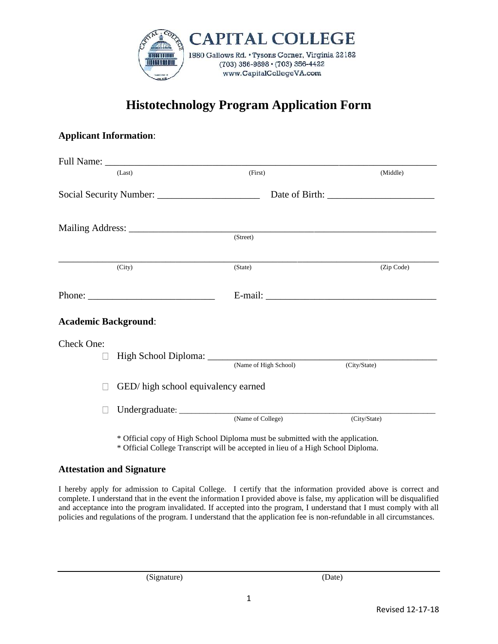

## **Histotechnology Program Application Form**

## **Applicant Information**:

|                             | (Last)                              | (First)               | (Middle)     |
|-----------------------------|-------------------------------------|-----------------------|--------------|
|                             |                                     |                       |              |
|                             |                                     |                       |              |
|                             |                                     | (Street)              |              |
|                             | (City)                              | (State)               | (Zip Code)   |
|                             |                                     |                       |              |
| <b>Academic Background:</b> |                                     |                       |              |
| Check One:                  |                                     |                       |              |
| $\sim$                      |                                     | (Name of High School) | (City/State) |
|                             | GED/ high school equivalency earned |                       |              |
|                             |                                     | (Name of College)     | (City/State) |
|                             |                                     |                       |              |

\* Official copy of High School Diploma must be submitted with the application. \* Official College Transcript will be accepted in lieu of a High School Diploma.

## **Attestation and Signature**

I hereby apply for admission to Capital College. I certify that the information provided above is correct and complete. I understand that in the event the information I provided above is false, my application will be disqualified and acceptance into the program invalidated. If accepted into the program, I understand that I must comply with all policies and regulations of the program. I understand that the application fee is non-refundable in all circumstances.